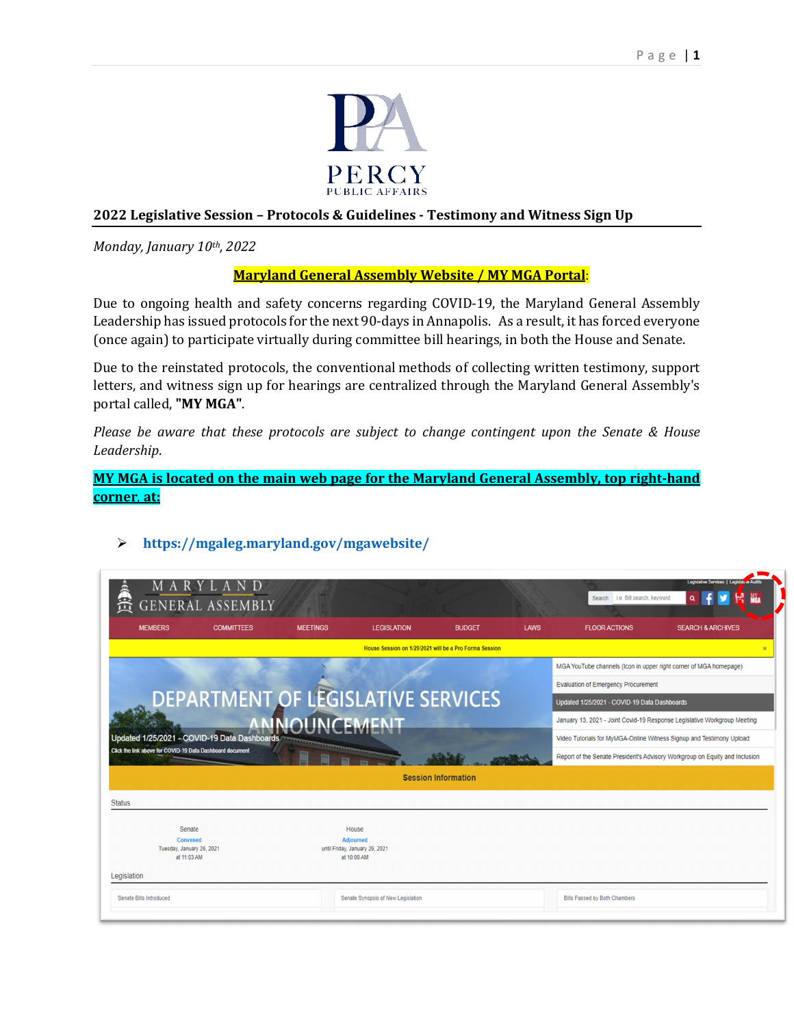

# **2022 Legislative Session – Protocols & Guidelines - Testimony and Witness Sign Up**

*Monday, January 10th, 2022* 

## **Maryland General Assembly Website / MY MGA Portal**:

Due to ongoing health and safety concerns regarding COVID-19, the Maryland General Assembly Leadership has issued protocols for the next 90-days in Annapolis. As a result, it has forced everyone (once again) to participate virtually during committee bill hearings, in both the House and Senate.

Due to the reinstated protocols, the conventional methods of collecting written testimony, support letters, and witness sign up for hearings are centralized through the Maryland General Assembly's portal called, **"MY MGA"**.

*Please be aware that these protocols are subject to change contingent upon the Senate & House Leadership*.

**MY MGA is located on the main web page for the Maryland General Assembly, top right-hand corner**, **at:**

| ARYLAN<br>笐<br><b>GENERAL ASSEMBLY</b>                                                                                                                            |                                                    |                                    |                    |                            |                                                                             |                                                                          | Legislative Services   Legislat & Audits<br><b>NY</b> <sub>54</sub><br>Search i.e. Bill search, keyword<br>۹ |  |
|-------------------------------------------------------------------------------------------------------------------------------------------------------------------|----------------------------------------------------|------------------------------------|--------------------|----------------------------|-----------------------------------------------------------------------------|--------------------------------------------------------------------------|--------------------------------------------------------------------------------------------------------------|--|
| <b>MEMBERS</b>                                                                                                                                                    | <b>COMMITTEES</b>                                  | <b>MEETINGS</b>                    | <b>LEGISLATION</b> | <b>BUDGET</b>              | <b>LAWS</b>                                                                 | <b>FLOOR ACTIONS</b>                                                     | <b>SEARCH &amp; ARCHIVES</b>                                                                                 |  |
| House Session on 1/29/2021 will be a Pro Forma Session<br>$\overline{\mathbf{x}}$                                                                                 |                                                    |                                    |                    |                            |                                                                             |                                                                          |                                                                                                              |  |
|                                                                                                                                                                   |                                                    |                                    |                    |                            |                                                                             | MGA YouTube channels (Icon in upper right corner of MGA homepage)        |                                                                                                              |  |
| DEPARTMENT OF LEGISLATIVE SERVICES<br>ANNOLINICEMENT<br>Updated 1/25/2021 - COVID-19 Data Dashboards<br>Click the link above for COVID-19 Data Dashboard document |                                                    |                                    |                    |                            | <b>Evaluation of Emergency Procurement</b>                                  |                                                                          |                                                                                                              |  |
|                                                                                                                                                                   |                                                    |                                    |                    |                            | Updated 1/25/2021 - COVID-19 Data Dashboards                                |                                                                          |                                                                                                              |  |
|                                                                                                                                                                   |                                                    |                                    |                    |                            |                                                                             | January 13, 2021 - Joint Covid-19 Response Legislative Workgroup Meeting |                                                                                                              |  |
|                                                                                                                                                                   |                                                    |                                    |                    |                            | Video Tutorials for MyMGA-Online Witness Signup and Testimony Upload        |                                                                          |                                                                                                              |  |
|                                                                                                                                                                   |                                                    |                                    |                    |                            | Report of the Senate President's Advisory Workgroup on Equity and Inclusion |                                                                          |                                                                                                              |  |
|                                                                                                                                                                   |                                                    |                                    |                    | <b>Session Information</b> |                                                                             |                                                                          |                                                                                                              |  |
| <b>Status</b>                                                                                                                                                     |                                                    |                                    |                    |                            |                                                                             |                                                                          |                                                                                                              |  |
| Senate                                                                                                                                                            |                                                    |                                    | House              |                            |                                                                             |                                                                          |                                                                                                              |  |
| Convened                                                                                                                                                          | <b>Adjourned</b><br>until Friday, January 29, 2021 |                                    |                    |                            |                                                                             |                                                                          |                                                                                                              |  |
| Tuesday, January 26, 2021<br>at 11:03 AM                                                                                                                          |                                                    |                                    | at 10:00 AM        |                            |                                                                             |                                                                          |                                                                                                              |  |
| Legislation                                                                                                                                                       |                                                    |                                    |                    |                            |                                                                             |                                                                          |                                                                                                              |  |
| Senate Bills Introduced                                                                                                                                           |                                                    | Senate Synopsis of New Legislation |                    |                            | Bills Passed by Both Chambers                                               |                                                                          |                                                                                                              |  |

# **<https://mgaleg.maryland.gov/mgawebsite/>**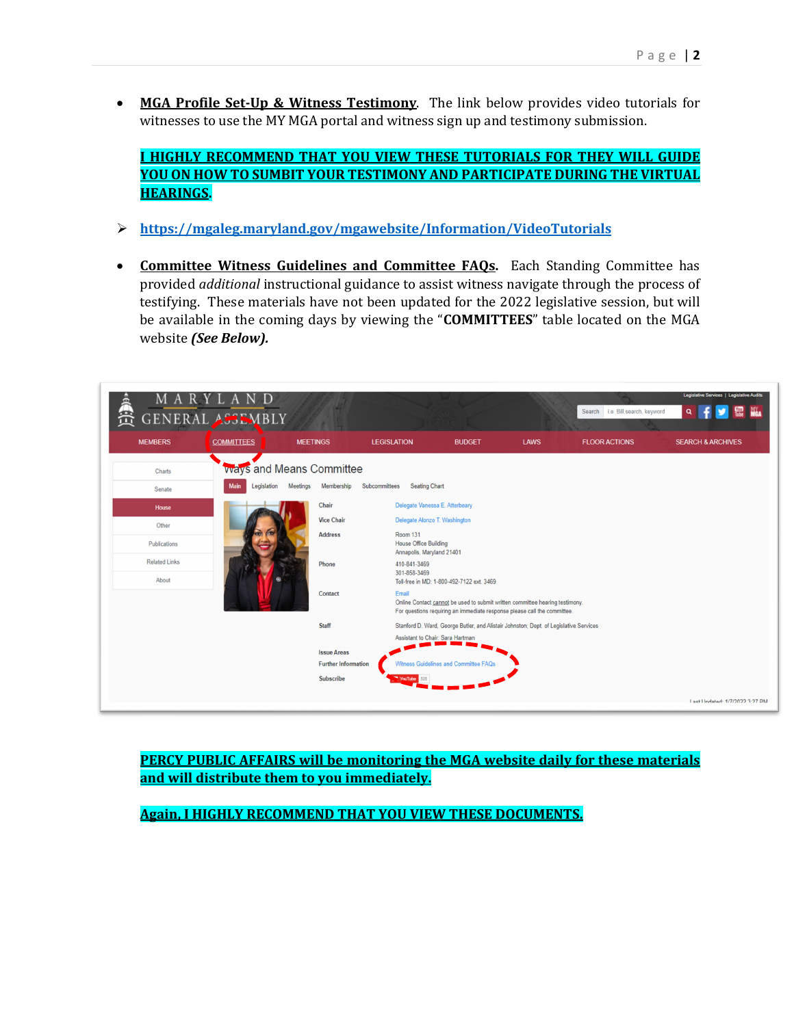• **MGA Profile Set-Up & Witness Testimony**. The link below provides video tutorials for witnesses to use the MY MGA portal and witness sign up and testimony submission.

**I HIGHLY RECOMMEND THAT YOU VIEW THESE TUTORIALS FOR THEY WILL GUIDE YOU ON HOW TO SUMBIT YOUR TESTIMONY AND PARTICIPATE DURING THE VIRTUAL HEARINGS.**

- **<https://mgaleg.maryland.gov/mgawebsite/Information/VideoTutorials>**
- **Committee Witness Guidelines and Committee FAQs.** Each Standing Committee has provided *additional* instructional guidance to assist witness navigate through the process of testifying. These materials have not been updated for the 2022 legislative session, but will be available in the coming days by viewing the "**COMMITTEES**" table located on the MGA website *(See Below).*



**PERCY PUBLIC AFFAIRS will be monitoring the MGA website daily for these materials and will distribute them to you immediately.**

**Again, I HIGHLY RECOMMEND THAT YOU VIEW THESE DOCUMENTS.**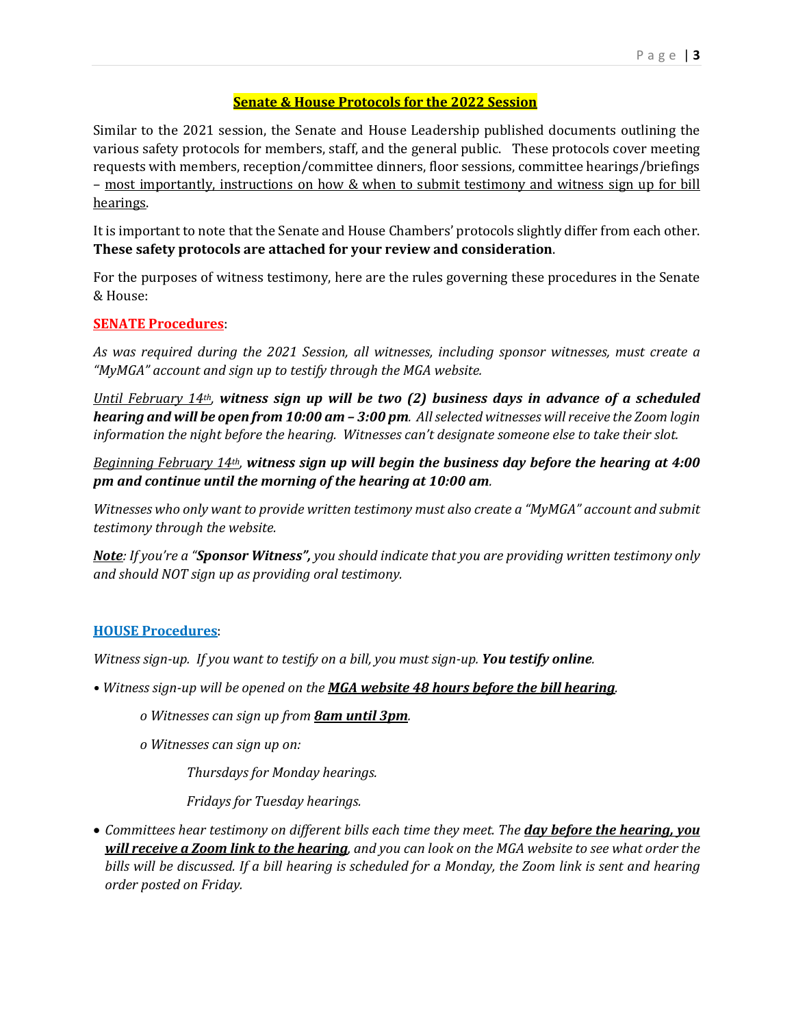## **Senate & House Protocols for the 2022 Session**

Similar to the 2021 session, the Senate and House Leadership published documents outlining the various safety protocols for members, staff, and the general public. These protocols cover meeting requests with members, reception/committee dinners, floor sessions, committee hearings/briefings – most importantly, instructions on how & when to submit testimony and witness sign up for bill hearings.

It is important to note that the Senate and House Chambers' protocols slightly differ from each other. **These safety protocols are attached for your review and consideration**.

For the purposes of witness testimony, here are the rules governing these procedures in the Senate & House:

## **SENATE Procedures**:

*As was required during the 2021 Session, all witnesses, including sponsor witnesses, must create a "MyMGA" account and sign up to testify through the MGA website.* 

*Until February 14th, witness sign up will be two (2) business days in advance of a scheduled hearing and will be open from 10:00 am – 3:00 pm. All selected witnesses will receive the Zoom login information the night before the hearing. Witnesses can't designate someone else to take their slot.*

*Beginning February 14th, witness sign up will begin the business day before the hearing at 4:00 pm and continue until the morning of the hearing at 10:00 am.* 

*Witnesses who only want to provide written testimony must also create a "MyMGA" account and submit testimony through the website.* 

*Note: If you're a "Sponsor Witness", you should indicate that you are providing written testimony only and should NOT sign up as providing oral testimony.* 

### **HOUSE Procedures**:

*Witness sign-up. If you want to testify on a bill, you must sign-up. You testify online.*

- *Witness sign-up will be opened on the MGA website 48 hours before the bill hearing.*
	- *o Witnesses can sign up from 8am until 3pm.*
	- *o Witnesses can sign up on:*

*Thursdays for Monday hearings.*

*Fridays for Tuesday hearings.*

• *Committees hear testimony on different bills each time they meet. The day before the hearing, you will receive a Zoom link to the hearing, and you can look on the MGA website to see what order the bills will be discussed. If a bill hearing is scheduled for a Monday, the Zoom link is sent and hearing order posted on Friday.*